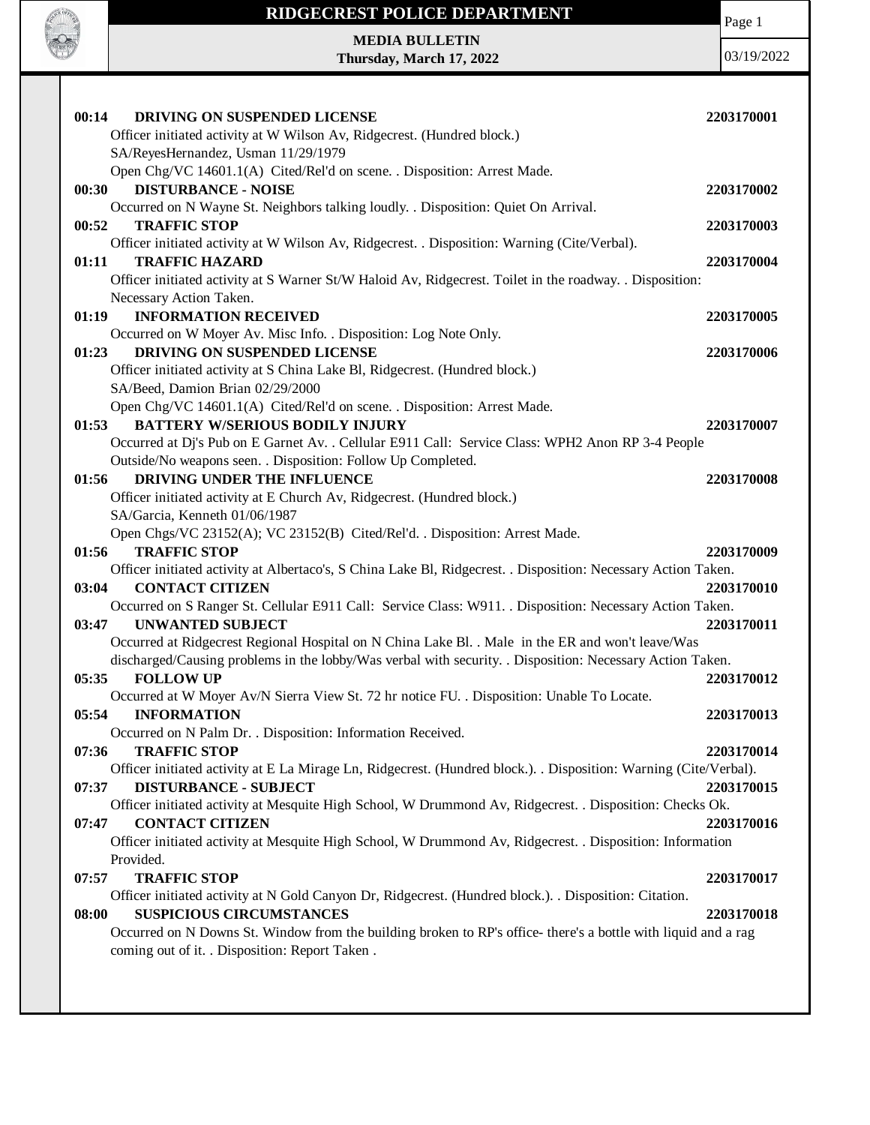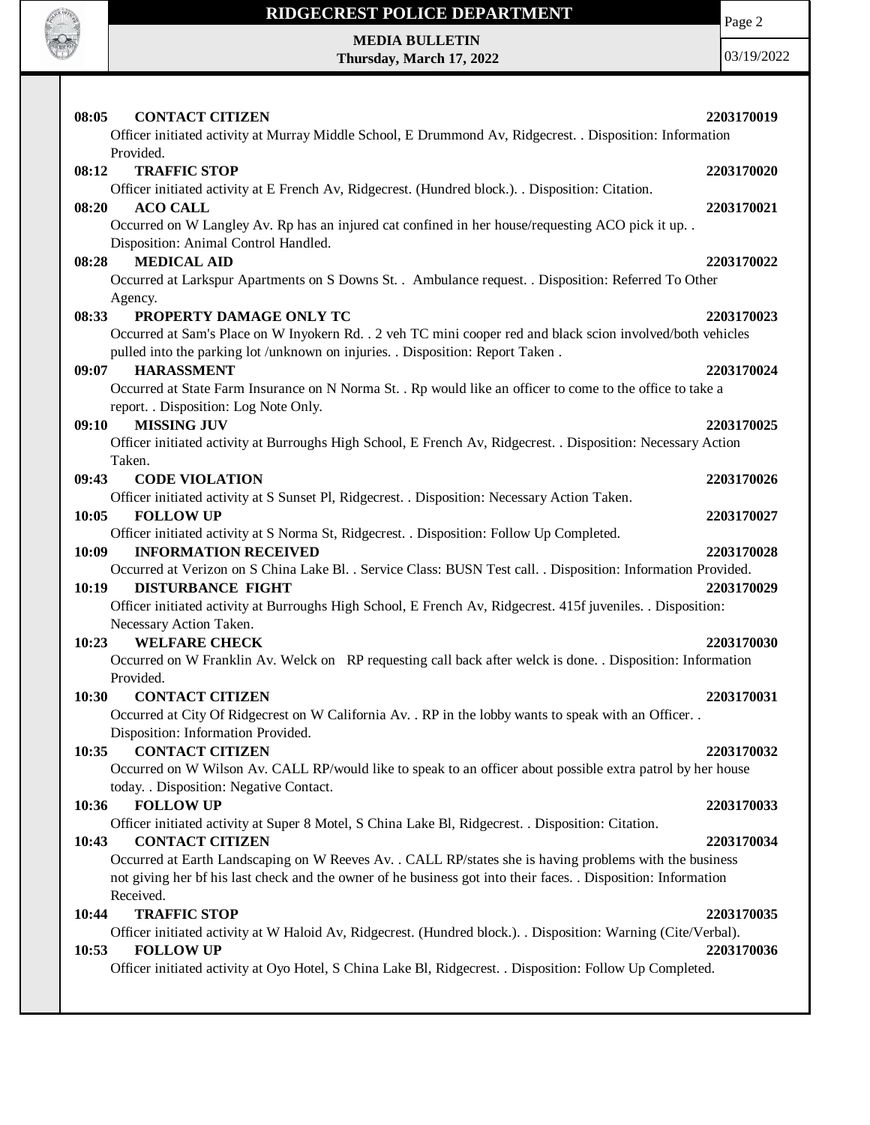

Page 2

**MEDIA BULLETIN Thursday, March 17, 2022**

| 08:05<br><b>CONTACT CITIZEN</b><br>Officer initiated activity at Murray Middle School, E Drummond Av, Ridgecrest. . Disposition: Information                                                                                                                                                                         | 2203170019                             |
|----------------------------------------------------------------------------------------------------------------------------------------------------------------------------------------------------------------------------------------------------------------------------------------------------------------------|----------------------------------------|
| Provided.<br>08:12<br><b>TRAFFIC STOP</b><br>Officer initiated activity at E French Av, Ridgecrest. (Hundred block.). . Disposition: Citation.                                                                                                                                                                       | 2203170020                             |
| <b>ACO CALL</b><br>08:20<br>Occurred on W Langley Av. Rp has an injured cat confined in her house/requesting ACO pick it up. .<br>Disposition: Animal Control Handled.                                                                                                                                               | 2203170021                             |
| <b>MEDICAL AID</b><br>08:28<br>Occurred at Larkspur Apartments on S Downs St. . Ambulance request. . Disposition: Referred To Other<br>Agency.                                                                                                                                                                       | 2203170022                             |
| PROPERTY DAMAGE ONLY TC<br>08:33<br>Occurred at Sam's Place on W Inyokern Rd. . 2 veh TC mini cooper red and black scion involved/both vehicles<br>pulled into the parking lot /unknown on injuries. . Disposition: Report Taken.                                                                                    | 2203170023                             |
| <b>HARASSMENT</b><br>09:07<br>Occurred at State Farm Insurance on N Norma St. . Rp would like an officer to come to the office to take a<br>report. . Disposition: Log Note Only.                                                                                                                                    | 2203170024                             |
| <b>MISSING JUV</b><br>09:10<br>Officer initiated activity at Burroughs High School, E French Av, Ridgecrest. . Disposition: Necessary Action<br>Taken.                                                                                                                                                               | 2203170025                             |
| <b>CODE VIOLATION</b><br>09:43<br>Officer initiated activity at S Sunset Pl, Ridgecrest. . Disposition: Necessary Action Taken.                                                                                                                                                                                      | 2203170026                             |
| 10:05<br><b>FOLLOW UP</b><br>Officer initiated activity at S Norma St, Ridgecrest. . Disposition: Follow Up Completed.<br>10:09<br><b>INFORMATION RECEIVED</b><br>Occurred at Verizon on S China Lake Bl. . Service Class: BUSN Test call. . Disposition: Information Provided.<br>10:19<br><b>DISTURBANCE FIGHT</b> | 2203170027<br>2203170028<br>2203170029 |
| Officer initiated activity at Burroughs High School, E French Av, Ridgecrest. 415f juveniles. . Disposition:<br>Necessary Action Taken.<br><b>WELFARE CHECK</b><br>10:23<br>Occurred on W Franklin Av. Welck on RP requesting call back after welck is done. . Disposition: Information                              | 2203170030                             |
| Provided.<br><b>CONTACT CITIZEN</b><br>10:30<br>Occurred at City Of Ridgecrest on W California Av. . RP in the lobby wants to speak with an Officer. .<br>Disposition: Information Provided.                                                                                                                         | 2203170031                             |
| <b>CONTACT CITIZEN</b><br>10:35<br>Occurred on W Wilson Av. CALL RP/would like to speak to an officer about possible extra patrol by her house<br>today. . Disposition: Negative Contact.                                                                                                                            | 2203170032                             |
| 10:36<br><b>FOLLOW UP</b><br>Officer initiated activity at Super 8 Motel, S China Lake Bl, Ridgecrest. . Disposition: Citation.                                                                                                                                                                                      | 2203170033                             |
| <b>CONTACT CITIZEN</b><br>10:43<br>Occurred at Earth Landscaping on W Reeves Av. . CALL RP/states she is having problems with the business<br>not giving her bf his last check and the owner of he business got into their faces. . Disposition: Information<br>Received.                                            | 2203170034                             |
| <b>TRAFFIC STOP</b><br>10:44<br>Officer initiated activity at W Haloid Av, Ridgecrest. (Hundred block.). Disposition: Warning (Cite/Verbal).<br><b>FOLLOW UP</b><br>10:53<br>Officer initiated activity at Oyo Hotel, S China Lake Bl, Ridgecrest. . Disposition: Follow Up Completed.                               | 2203170035<br>2203170036               |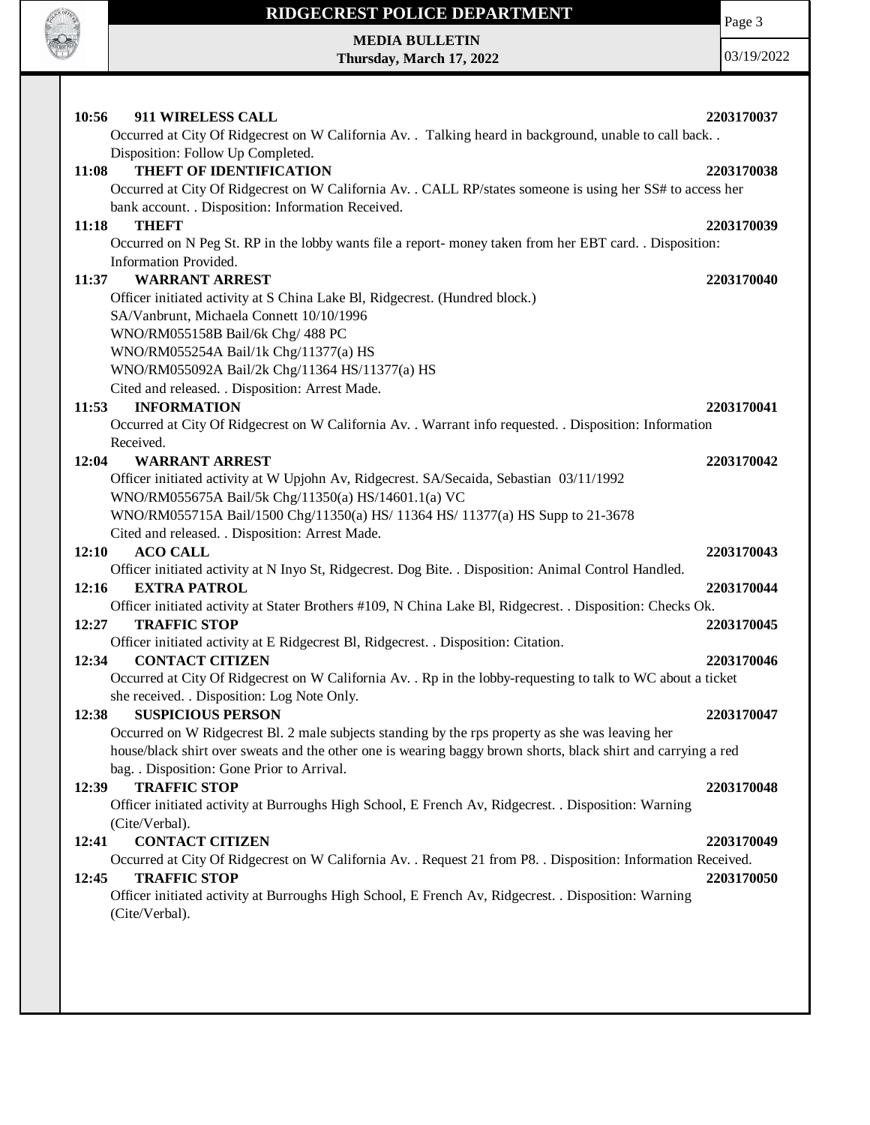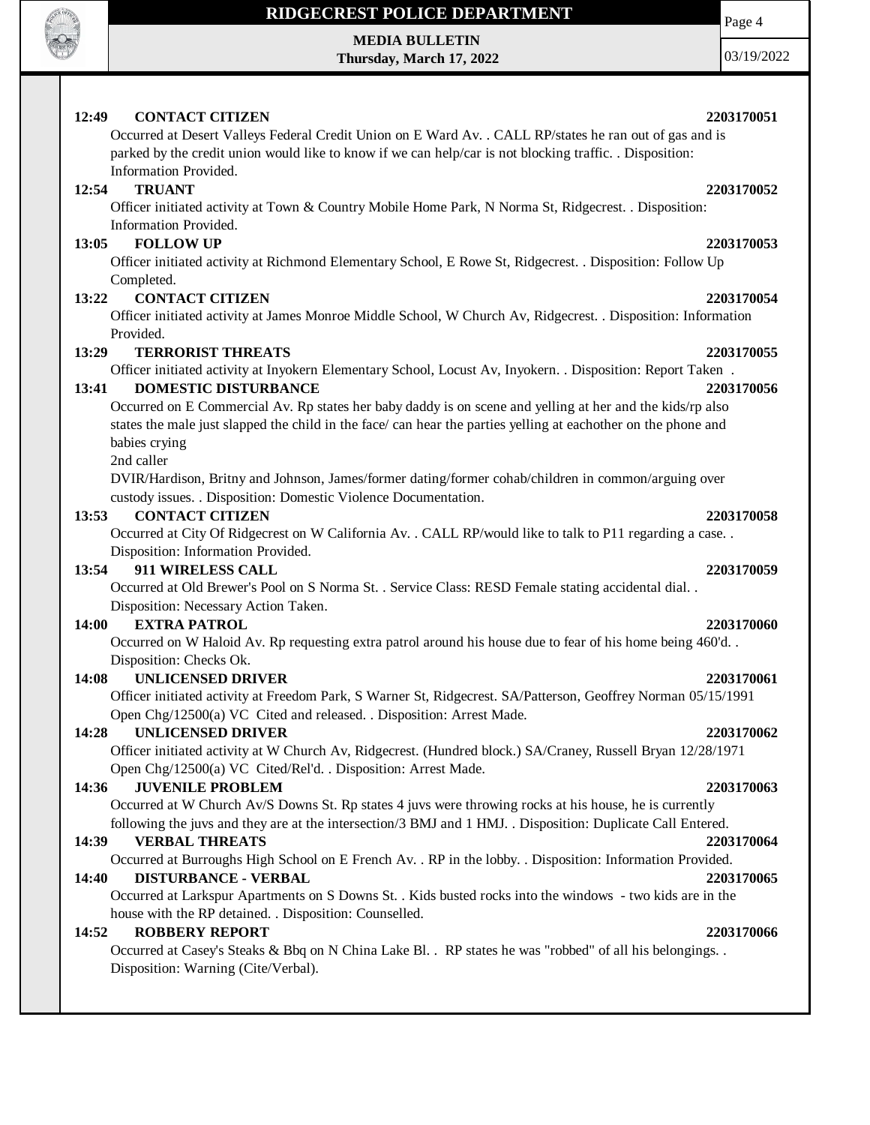

**MEDIA BULLETIN Thursday, March 17, 2022** Page 4

03/19/2022

### **12:49 CONTACT CITIZEN 2203170051**

Occurred at Desert Valleys Federal Credit Union on E Ward Av. . CALL RP/states he ran out of gas and is parked by the credit union would like to know if we can help/car is not blocking traffic. . Disposition: Information Provided.

### **12:54 TRUANT 2203170052**

Officer initiated activity at Town & Country Mobile Home Park, N Norma St, Ridgecrest. . Disposition: Information Provided.

### **13:05 FOLLOW UP 2203170053**

Officer initiated activity at Richmond Elementary School, E Rowe St, Ridgecrest. . Disposition: Follow Up Completed.

### **13:22 CONTACT CITIZEN 2203170054**

Officer initiated activity at James Monroe Middle School, W Church Av, Ridgecrest. . Disposition: Information Provided.

### **13:29 TERRORIST THREATS 2203170055**

Officer initiated activity at Inyokern Elementary School, Locust Av, Inyokern. . Disposition: Report Taken . **13:41 DOMESTIC DISTURBANCE 2203170056**

Occurred on E Commercial Av. Rp states her baby daddy is on scene and yelling at her and the kids/rp also states the male just slapped the child in the face/ can hear the parties yelling at eachother on the phone and babies crying

2nd caller

DVIR/Hardison, Britny and Johnson, James/former dating/former cohab/children in common/arguing over custody issues. . Disposition: Domestic Violence Documentation.

### **13:53 CONTACT CITIZEN 2203170058**

Occurred at City Of Ridgecrest on W California Av. . CALL RP/would like to talk to P11 regarding a case. . Disposition: Information Provided.

### **13:54 911 WIRELESS CALL 2203170059**

Occurred at Old Brewer's Pool on S Norma St. . Service Class: RESD Female stating accidental dial. . Disposition: Necessary Action Taken.

### **14:00 EXTRA PATROL 2203170060**

Occurred on W Haloid Av. Rp requesting extra patrol around his house due to fear of his home being 460'd. . Disposition: Checks Ok.

### **14:08 UNLICENSED DRIVER 2203170061**

Officer initiated activity at Freedom Park, S Warner St, Ridgecrest. SA/Patterson, Geoffrey Norman 05/15/1991 Open Chg/12500(a) VC Cited and released. . Disposition: Arrest Made.

### **14:28 UNLICENSED DRIVER 2203170062**

Officer initiated activity at W Church Av, Ridgecrest. (Hundred block.) SA/Craney, Russell Bryan 12/28/1971 Open Chg/12500(a) VC Cited/Rel'd. . Disposition: Arrest Made.

### **14:36 JUVENILE PROBLEM 2203170063**

Occurred at W Church Av/S Downs St. Rp states 4 juvs were throwing rocks at his house, he is currently following the juvs and they are at the intersection/3 BMJ and 1 HMJ. . Disposition: Duplicate Call Entered.

### **14:39 VERBAL THREATS 2203170064**

Occurred at Burroughs High School on E French Av. . RP in the lobby. . Disposition: Information Provided.

### **14:40 DISTURBANCE - VERBAL 2203170065**

Occurred at Larkspur Apartments on S Downs St. . Kids busted rocks into the windows - two kids are in the house with the RP detained. . Disposition: Counselled.

### **14:52 ROBBERY REPORT 2203170066**

Occurred at Casey's Steaks & Bbq on N China Lake Bl. . RP states he was "robbed" of all his belongings. . Disposition: Warning (Cite/Verbal).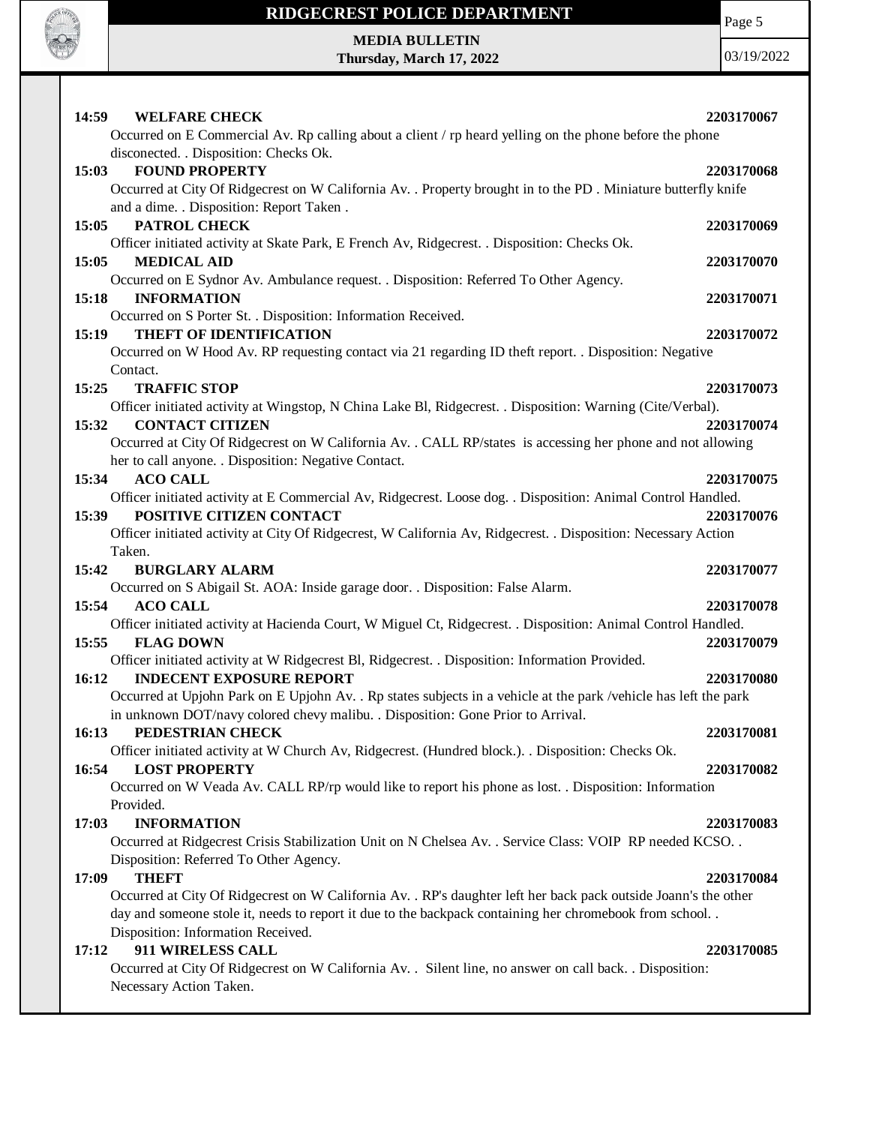

Page 5

**MEDIA BULLETIN Thursday, March 17, 2022**

| 14:59 WELFARE CHECK<br>Occurred on E Commercial Av. Rp calling about a client / rp heard yelling on the phone before the phone                                                                                                                                                                                                     | 2203170067               |
|------------------------------------------------------------------------------------------------------------------------------------------------------------------------------------------------------------------------------------------------------------------------------------------------------------------------------------|--------------------------|
| disconected. . Disposition: Checks Ok.<br>15:03<br><b>FOUND PROPERTY</b><br>Occurred at City Of Ridgecrest on W California Av. . Property brought in to the PD . Miniature butterfly knife<br>and a dime. . Disposition: Report Taken .                                                                                            | 2203170068               |
| PATROL CHECK<br>15:05<br>Officer initiated activity at Skate Park, E French Av, Ridgecrest. . Disposition: Checks Ok.                                                                                                                                                                                                              | 2203170069               |
| 15:05<br><b>MEDICAL AID</b><br>Occurred on E Sydnor Av. Ambulance request. . Disposition: Referred To Other Agency.                                                                                                                                                                                                                | 2203170070               |
| 15:18<br><b>INFORMATION</b><br>Occurred on S Porter St. . Disposition: Information Received.                                                                                                                                                                                                                                       | 2203170071               |
| <b>THEFT OF IDENTIFICATION</b><br>15:19<br>Occurred on W Hood Av. RP requesting contact via 21 regarding ID theft report. . Disposition: Negative<br>Contact.                                                                                                                                                                      | 2203170072               |
| 15:25<br><b>TRAFFIC STOP</b><br>Officer initiated activity at Wingstop, N China Lake Bl, Ridgecrest. . Disposition: Warning (Cite/Verbal).                                                                                                                                                                                         | 2203170073               |
| 15:32<br><b>CONTACT CITIZEN</b><br>Occurred at City Of Ridgecrest on W California Av. . CALL RP/states is accessing her phone and not allowing<br>her to call anyone. . Disposition: Negative Contact.                                                                                                                             | 2203170074               |
| <b>ACO CALL</b><br>15:34<br>Officer initiated activity at E Commercial Av, Ridgecrest. Loose dog. . Disposition: Animal Control Handled.<br>POSITIVE CITIZEN CONTACT<br>15:39<br>Officer initiated activity at City Of Ridgecrest, W California Av, Ridgecrest. . Disposition: Necessary Action                                    | 2203170075<br>2203170076 |
| Taken.                                                                                                                                                                                                                                                                                                                             |                          |
| 15:42<br><b>BURGLARY ALARM</b>                                                                                                                                                                                                                                                                                                     | 2203170077               |
| Occurred on S Abigail St. AOA: Inside garage door. . Disposition: False Alarm.<br>15:54<br><b>ACO CALL</b><br>Officer initiated activity at Hacienda Court, W Miguel Ct, Ridgecrest. . Disposition: Animal Control Handled.<br>15:55<br><b>FLAG DOWN</b>                                                                           | 2203170078<br>2203170079 |
| Officer initiated activity at W Ridgecrest Bl, Ridgecrest. . Disposition: Information Provided.<br>16:12<br><b>INDECENT EXPOSURE REPORT</b><br>Occurred at Upjohn Park on E Upjohn Av. . Rp states subjects in a vehicle at the park /vehicle has left the park                                                                    | 2203170080               |
| in unknown DOT/navy colored chevy malibu. . Disposition: Gone Prior to Arrival.<br>PEDESTRIAN CHECK<br>16:13                                                                                                                                                                                                                       | 2203170081               |
| Officer initiated activity at W Church Av, Ridgecrest. (Hundred block.). . Disposition: Checks Ok.<br><b>LOST PROPERTY</b><br>16:54<br>Occurred on W Veada Av. CALL RP/rp would like to report his phone as lost. . Disposition: Information                                                                                       | 2203170082               |
| Provided.<br>17:03<br><b>INFORMATION</b><br>Occurred at Ridgecrest Crisis Stabilization Unit on N Chelsea Av. . Service Class: VOIP RP needed KCSO. .                                                                                                                                                                              | 2203170083               |
| Disposition: Referred To Other Agency.<br><b>THEFT</b><br>17:09<br>Occurred at City Of Ridgecrest on W California Av. . RP's daughter left her back pack outside Joann's the other<br>day and someone stole it, needs to report it due to the backpack containing her chromebook from school<br>Disposition: Information Received. | 2203170084               |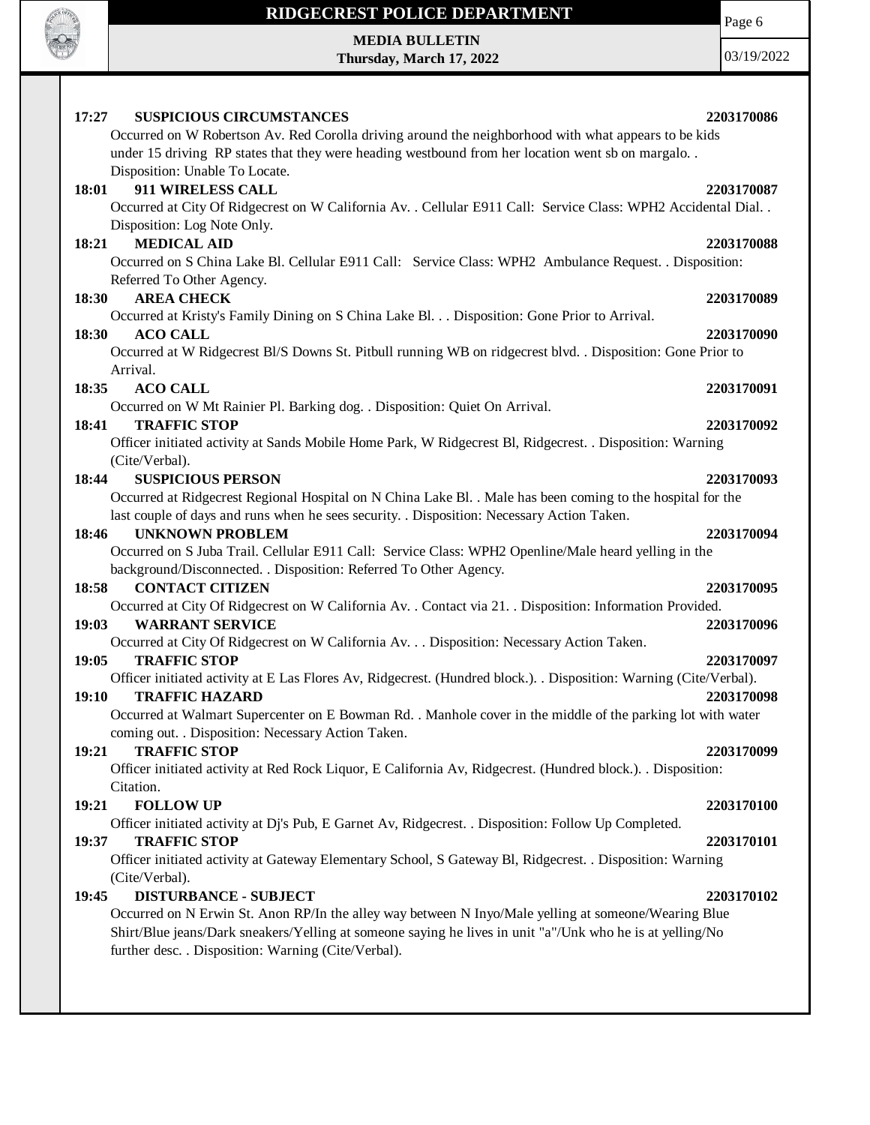

Page 6

**MEDIA BULLETIN Thursday, March 17, 2022**

| <b>SUSPICIOUS CIRCUMSTANCES</b><br>17:27<br>Occurred on W Robertson Av. Red Corolla driving around the neighborhood with what appears to be kids<br>under 15 driving RP states that they were heading westbound from her location went sb on margalo. .<br>Disposition: Unable To Locate. | 2203170086 |
|-------------------------------------------------------------------------------------------------------------------------------------------------------------------------------------------------------------------------------------------------------------------------------------------|------------|
| 911 WIRELESS CALL<br>18:01<br>Occurred at City Of Ridgecrest on W California Av. . Cellular E911 Call: Service Class: WPH2 Accidental Dial<br>Disposition: Log Note Only.                                                                                                                 | 2203170087 |
| <b>MEDICAL AID</b><br>18:21                                                                                                                                                                                                                                                               | 2203170088 |
| Occurred on S China Lake Bl. Cellular E911 Call: Service Class: WPH2 Ambulance Request. . Disposition:                                                                                                                                                                                    |            |
| Referred To Other Agency.                                                                                                                                                                                                                                                                 |            |
| <b>AREA CHECK</b><br>18:30                                                                                                                                                                                                                                                                | 2203170089 |
| Occurred at Kristy's Family Dining on S China Lake Bl. Disposition: Gone Prior to Arrival.                                                                                                                                                                                                |            |
| 18:30<br><b>ACO CALL</b>                                                                                                                                                                                                                                                                  | 2203170090 |
| Occurred at W Ridgecrest Bl/S Downs St. Pitbull running WB on ridgecrest blvd. . Disposition: Gone Prior to                                                                                                                                                                               |            |
| Arrival.                                                                                                                                                                                                                                                                                  |            |
| <b>ACO CALL</b><br>18:35                                                                                                                                                                                                                                                                  | 2203170091 |
| Occurred on W Mt Rainier Pl. Barking dog. . Disposition: Quiet On Arrival.                                                                                                                                                                                                                |            |
| <b>TRAFFIC STOP</b><br>18:41                                                                                                                                                                                                                                                              | 2203170092 |
| Officer initiated activity at Sands Mobile Home Park, W Ridgecrest Bl, Ridgecrest. . Disposition: Warning                                                                                                                                                                                 |            |
| (Cite/Verbal).                                                                                                                                                                                                                                                                            |            |
| <b>SUSPICIOUS PERSON</b><br>18:44                                                                                                                                                                                                                                                         | 2203170093 |
| Occurred at Ridgecrest Regional Hospital on N China Lake Bl. . Male has been coming to the hospital for the                                                                                                                                                                               |            |
| last couple of days and runs when he sees security. . Disposition: Necessary Action Taken.                                                                                                                                                                                                |            |
| <b>UNKNOWN PROBLEM</b><br>18:46                                                                                                                                                                                                                                                           | 2203170094 |
| Occurred on S Juba Trail. Cellular E911 Call: Service Class: WPH2 Openline/Male heard yelling in the                                                                                                                                                                                      |            |
| background/Disconnected. . Disposition: Referred To Other Agency.                                                                                                                                                                                                                         |            |
| <b>CONTACT CITIZEN</b><br>18:58                                                                                                                                                                                                                                                           | 2203170095 |
| Occurred at City Of Ridgecrest on W California Av. . Contact via 21. . Disposition: Information Provided.                                                                                                                                                                                 |            |
| 19:03<br><b>WARRANT SERVICE</b>                                                                                                                                                                                                                                                           | 2203170096 |
| Occurred at City Of Ridgecrest on W California Av. Disposition: Necessary Action Taken.                                                                                                                                                                                                   |            |
| 19:05<br><b>TRAFFIC STOP</b>                                                                                                                                                                                                                                                              | 2203170097 |
| Officer initiated activity at E Las Flores Av, Ridgecrest. (Hundred block.). Disposition: Warning (Cite/Verbal).<br>19:10<br><b>TRAFFIC HAZARD</b>                                                                                                                                        | 2203170098 |
| Occurred at Walmart Supercenter on E Bowman Rd. . Manhole cover in the middle of the parking lot with water                                                                                                                                                                               |            |
| coming out. . Disposition: Necessary Action Taken.                                                                                                                                                                                                                                        |            |
| 19:21<br><b>TRAFFIC STOP</b>                                                                                                                                                                                                                                                              | 2203170099 |
| Officer initiated activity at Red Rock Liquor, E California Av, Ridgecrest. (Hundred block.). . Disposition:                                                                                                                                                                              |            |
| Citation.<br><b>FOLLOW UP</b><br>19:21                                                                                                                                                                                                                                                    | 2203170100 |
| Officer initiated activity at Dj's Pub, E Garnet Av, Ridgecrest. . Disposition: Follow Up Completed.                                                                                                                                                                                      |            |
| <b>TRAFFIC STOP</b><br>19:37                                                                                                                                                                                                                                                              | 2203170101 |
| Officer initiated activity at Gateway Elementary School, S Gateway Bl, Ridgecrest. . Disposition: Warning                                                                                                                                                                                 |            |
| (Cite/Verbal).                                                                                                                                                                                                                                                                            |            |
| 19:45<br><b>DISTURBANCE - SUBJECT</b>                                                                                                                                                                                                                                                     | 2203170102 |
| Occurred on N Erwin St. Anon RP/In the alley way between N Inyo/Male yelling at someone/Wearing Blue                                                                                                                                                                                      |            |
| Shirt/Blue jeans/Dark sneakers/Yelling at someone saying he lives in unit "a"/Unk who he is at yelling/No<br>further desc. . Disposition: Warning (Cite/Verbal).                                                                                                                          |            |
|                                                                                                                                                                                                                                                                                           |            |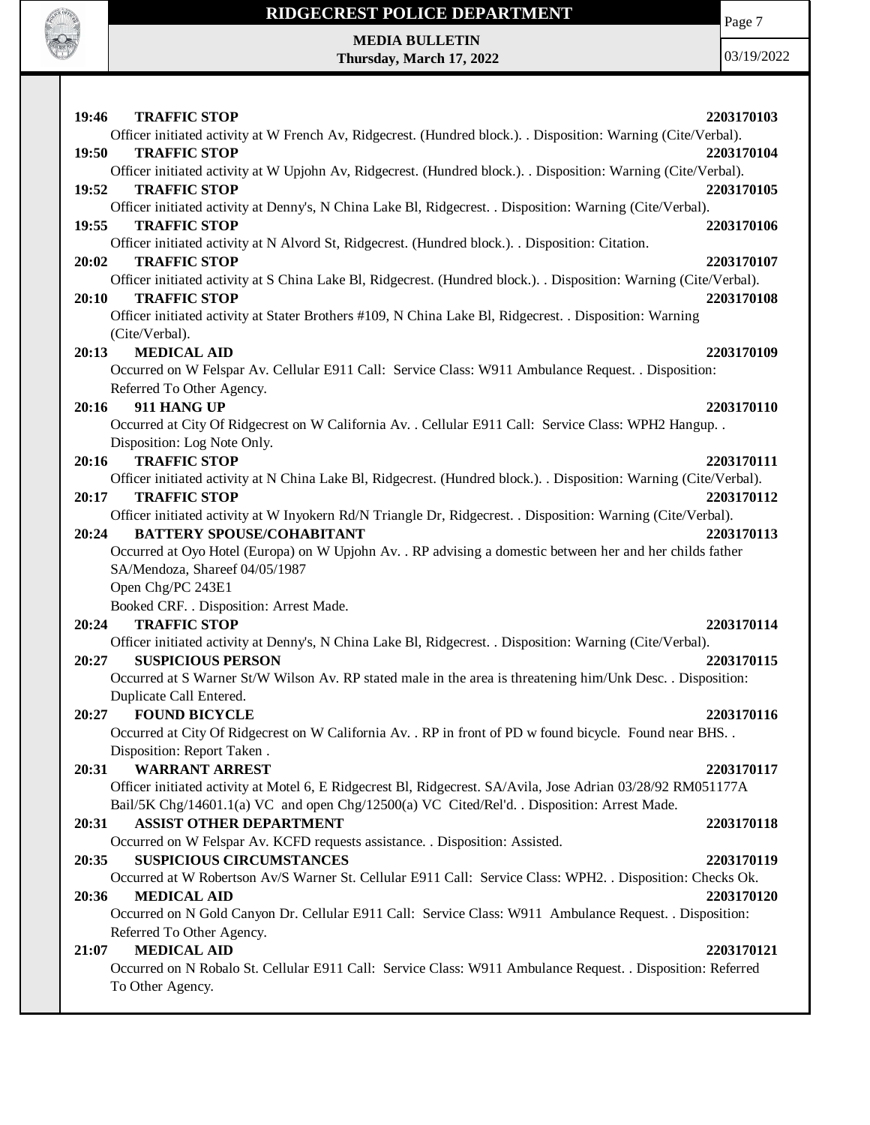

Page 7

**MEDIA BULLETIN Thursday, March 17, 2022**

| 19:46 | <b>TRAFFIC STOP</b>                                                                                                      | 2203170103 |
|-------|--------------------------------------------------------------------------------------------------------------------------|------------|
|       | Officer initiated activity at W French Av, Ridgecrest. (Hundred block.). Disposition: Warning (Cite/Verbal).             |            |
| 19:50 | <b>TRAFFIC STOP</b>                                                                                                      | 2203170104 |
|       | Officer initiated activity at W Upjohn Av, Ridgecrest. (Hundred block.). Disposition: Warning (Cite/Verbal).             |            |
| 19:52 | <b>TRAFFIC STOP</b>                                                                                                      | 2203170105 |
|       | Officer initiated activity at Denny's, N China Lake Bl, Ridgecrest. . Disposition: Warning (Cite/Verbal).                |            |
| 19:55 | <b>TRAFFIC STOP</b><br>Officer initiated activity at N Alvord St, Ridgecrest. (Hundred block.). . Disposition: Citation. | 2203170106 |
|       | <b>TRAFFIC STOP</b>                                                                                                      |            |
| 20:02 | Officer initiated activity at S China Lake Bl, Ridgecrest. (Hundred block.). . Disposition: Warning (Cite/Verbal).       | 2203170107 |
| 20:10 | <b>TRAFFIC STOP</b>                                                                                                      | 2203170108 |
|       | Officer initiated activity at Stater Brothers #109, N China Lake Bl, Ridgecrest. . Disposition: Warning                  |            |
|       | (Cite/Verbal).                                                                                                           |            |
| 20:13 | <b>MEDICAL AID</b>                                                                                                       | 2203170109 |
|       | Occurred on W Felspar Av. Cellular E911 Call: Service Class: W911 Ambulance Request. . Disposition:                      |            |
|       | Referred To Other Agency.                                                                                                |            |
| 20:16 | 911 HANG UP                                                                                                              | 2203170110 |
|       | Occurred at City Of Ridgecrest on W California Av. . Cellular E911 Call: Service Class: WPH2 Hangup. .                   |            |
|       | Disposition: Log Note Only.                                                                                              |            |
| 20:16 | <b>TRAFFIC STOP</b>                                                                                                      | 2203170111 |
|       | Officer initiated activity at N China Lake Bl, Ridgecrest. (Hundred block.). . Disposition: Warning (Cite/Verbal).       |            |
| 20:17 | <b>TRAFFIC STOP</b>                                                                                                      | 2203170112 |
|       | Officer initiated activity at W Inyokern Rd/N Triangle Dr, Ridgecrest. . Disposition: Warning (Cite/Verbal).             |            |
| 20:24 | <b>BATTERY SPOUSE/COHABITANT</b>                                                                                         | 2203170113 |
|       | Occurred at Oyo Hotel (Europa) on W Upjohn Av. . RP advising a domestic between her and her childs father                |            |
|       | SA/Mendoza, Shareef 04/05/1987                                                                                           |            |
|       | Open Chg/PC 243E1                                                                                                        |            |
|       | Booked CRF. . Disposition: Arrest Made.                                                                                  |            |
| 20:24 | <b>TRAFFIC STOP</b>                                                                                                      | 2203170114 |
|       | Officer initiated activity at Denny's, N China Lake Bl, Ridgecrest. . Disposition: Warning (Cite/Verbal).                |            |
| 20:27 | <b>SUSPICIOUS PERSON</b>                                                                                                 | 2203170115 |
|       | Occurred at S Warner St/W Wilson Av. RP stated male in the area is threatening him/Unk Desc. . Disposition:              |            |
|       | Duplicate Call Entered.                                                                                                  |            |
| 20:27 | <b>FOUND BICYCLE</b>                                                                                                     | 2203170116 |
|       | Occurred at City Of Ridgecrest on W California Av. . RP in front of PD w found bicycle. Found near BHS                   |            |
|       | Disposition: Report Taken.                                                                                               |            |
| 20:31 | <b>WARRANT ARREST</b>                                                                                                    | 2203170117 |
|       | Officer initiated activity at Motel 6, E Ridgecrest Bl, Ridgecrest. SA/Avila, Jose Adrian 03/28/92 RM051177A             |            |
|       | Bail/5K Chg/14601.1(a) VC and open Chg/12500(a) VC Cited/Rel'd. . Disposition: Arrest Made.                              |            |
| 20:31 | <b>ASSIST OTHER DEPARTMENT</b>                                                                                           | 2203170118 |
|       | Occurred on W Felspar Av. KCFD requests assistance. . Disposition: Assisted.                                             |            |
| 20:35 | <b>SUSPICIOUS CIRCUMSTANCES</b>                                                                                          | 2203170119 |
|       | Occurred at W Robertson Av/S Warner St. Cellular E911 Call: Service Class: WPH2. . Disposition: Checks Ok.               |            |
| 20:36 | <b>MEDICAL AID</b>                                                                                                       | 2203170120 |
|       | Occurred on N Gold Canyon Dr. Cellular E911 Call: Service Class: W911 Ambulance Request. . Disposition:                  |            |
| 21:07 | Referred To Other Agency.<br><b>MEDICAL AID</b>                                                                          | 2203170121 |
|       | Occurred on N Robalo St. Cellular E911 Call: Service Class: W911 Ambulance Request. . Disposition: Referred              |            |
|       | To Other Agency.                                                                                                         |            |
|       |                                                                                                                          |            |
|       |                                                                                                                          |            |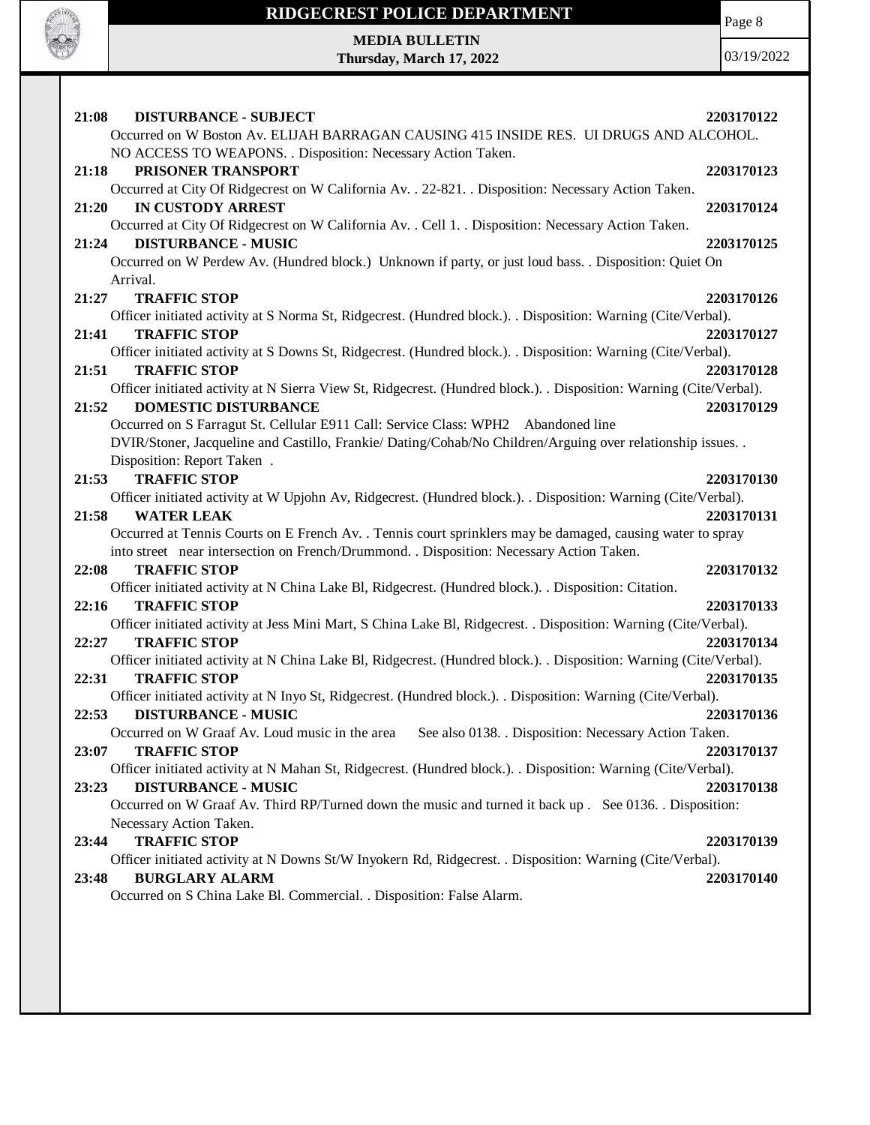

Page 8

**MEDIA BULLETIN Thursday, March 17, 2022**

| 21:08<br><b>DISTURBANCE - SUBJECT</b>                                                                               | 2203170122 |
|---------------------------------------------------------------------------------------------------------------------|------------|
| Occurred on W Boston Av. ELIJAH BARRAGAN CAUSING 415 INSIDE RES. UI DRUGS AND ALCOHOL.                              |            |
| NO ACCESS TO WEAPONS. . Disposition: Necessary Action Taken.<br>21:18<br>PRISONER TRANSPORT                         | 2203170123 |
| Occurred at City Of Ridgecrest on W California Av. . 22-821. . Disposition: Necessary Action Taken.                 |            |
| 21:20<br><b>IN CUSTODY ARREST</b>                                                                                   | 2203170124 |
| Occurred at City Of Ridgecrest on W California Av. . Cell 1. . Disposition: Necessary Action Taken.                 |            |
| 21:24<br><b>DISTURBANCE - MUSIC</b>                                                                                 | 2203170125 |
| Occurred on W Perdew Av. (Hundred block.) Unknown if party, or just loud bass. . Disposition: Quiet On              |            |
| Arrival.                                                                                                            |            |
| 21:27<br><b>TRAFFIC STOP</b>                                                                                        | 2203170126 |
| Officer initiated activity at S Norma St, Ridgecrest. (Hundred block.). . Disposition: Warning (Cite/Verbal).       |            |
| <b>TRAFFIC STOP</b><br>21:41                                                                                        | 2203170127 |
| Officer initiated activity at S Downs St, Ridgecrest. (Hundred block.). Disposition: Warning (Cite/Verbal).         |            |
| <b>TRAFFIC STOP</b><br>21:51                                                                                        | 2203170128 |
| Officer initiated activity at N Sierra View St, Ridgecrest. (Hundred block.). . Disposition: Warning (Cite/Verbal). |            |
| <b>DOMESTIC DISTURBANCE</b><br>21:52                                                                                | 2203170129 |
| Occurred on S Farragut St. Cellular E911 Call: Service Class: WPH2 Abandoned line                                   |            |
| DVIR/Stoner, Jacqueline and Castillo, Frankie/ Dating/Cohab/No Children/Arguing over relationship issues. .         |            |
| Disposition: Report Taken.                                                                                          |            |
| <b>TRAFFIC STOP</b><br>21:53                                                                                        | 2203170130 |
| Officer initiated activity at W Upjohn Av, Ridgecrest. (Hundred block.). . Disposition: Warning (Cite/Verbal).      |            |
| 21:58<br><b>WATER LEAK</b>                                                                                          | 2203170131 |
| Occurred at Tennis Courts on E French Av. . Tennis court sprinklers may be damaged, causing water to spray          |            |
| into street near intersection on French/Drummond. . Disposition: Necessary Action Taken.                            |            |
| <b>TRAFFIC STOP</b><br>22:08                                                                                        | 2203170132 |
| Officer initiated activity at N China Lake Bl, Ridgecrest. (Hundred block.). Disposition: Citation.                 |            |
| <b>TRAFFIC STOP</b><br>22:16                                                                                        | 2203170133 |
| Officer initiated activity at Jess Mini Mart, S China Lake Bl, Ridgecrest. . Disposition: Warning (Cite/Verbal).    |            |
| <b>TRAFFIC STOP</b><br>22:27                                                                                        | 2203170134 |
| Officer initiated activity at N China Lake Bl, Ridgecrest. (Hundred block.). . Disposition: Warning (Cite/Verbal).  |            |
| 22:31<br><b>TRAFFIC STOP</b>                                                                                        | 2203170135 |
| Officer initiated activity at N Inyo St, Ridgecrest. (Hundred block.). . Disposition: Warning (Cite/Verbal).        |            |
| <b>DISTURBANCE - MUSIC</b><br>22:53                                                                                 | 2203170136 |
| See also 0138. . Disposition: Necessary Action Taken.<br>Occurred on W Graaf Av. Loud music in the area             |            |
| <b>TRAFFIC STOP</b><br>23:07                                                                                        | 2203170137 |
| Officer initiated activity at N Mahan St, Ridgecrest. (Hundred block.). . Disposition: Warning (Cite/Verbal).       |            |
| <b>DISTURBANCE - MUSIC</b><br>23:23                                                                                 | 2203170138 |
| Occurred on W Graaf Av. Third RP/Turned down the music and turned it back up . See 0136. Disposition:               |            |
| Necessary Action Taken.                                                                                             |            |
| <b>TRAFFIC STOP</b><br>23:44                                                                                        | 2203170139 |
| Officer initiated activity at N Downs St/W Inyokern Rd, Ridgecrest. . Disposition: Warning (Cite/Verbal).           |            |
| 23:48<br><b>BURGLARY ALARM</b>                                                                                      | 2203170140 |
| Occurred on S China Lake Bl. Commercial. . Disposition: False Alarm.                                                |            |
|                                                                                                                     |            |